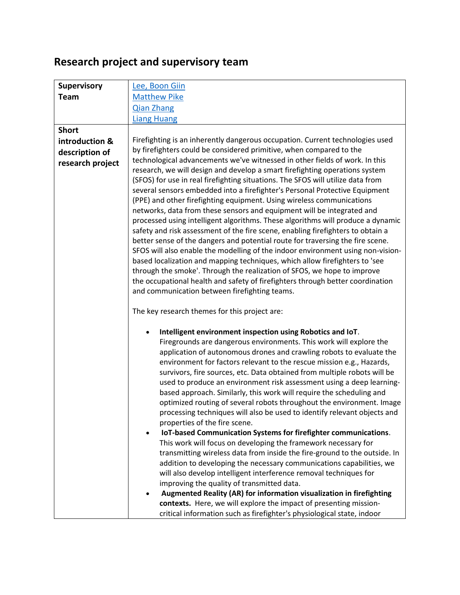## **Research project and supervisory team**

| <b>Supervisory</b> | Lee, Boon Giin                                                                                                                                       |
|--------------------|------------------------------------------------------------------------------------------------------------------------------------------------------|
| <b>Team</b>        | <b>Matthew Pike</b>                                                                                                                                  |
|                    | <b>Qian Zhang</b>                                                                                                                                    |
|                    | <b>Liang Huang</b>                                                                                                                                   |
| <b>Short</b>       |                                                                                                                                                      |
| introduction &     | Firefighting is an inherently dangerous occupation. Current technologies used                                                                        |
| description of     | by firefighters could be considered primitive, when compared to the                                                                                  |
| research project   | technological advancements we've witnessed in other fields of work. In this                                                                          |
|                    | research, we will design and develop a smart firefighting operations system                                                                          |
|                    | (SFOS) for use in real firefighting situations. The SFOS will utilize data from                                                                      |
|                    | several sensors embedded into a firefighter's Personal Protective Equipment<br>(PPE) and other firefighting equipment. Using wireless communications |
|                    | networks, data from these sensors and equipment will be integrated and                                                                               |
|                    | processed using intelligent algorithms. These algorithms will produce a dynamic                                                                      |
|                    | safety and risk assessment of the fire scene, enabling firefighters to obtain a                                                                      |
|                    | better sense of the dangers and potential route for traversing the fire scene.                                                                       |
|                    | SFOS will also enable the modelling of the indoor environment using non-vision-                                                                      |
|                    | based localization and mapping techniques, which allow firefighters to 'see                                                                          |
|                    | through the smoke'. Through the realization of SFOS, we hope to improve                                                                              |
|                    | the occupational health and safety of firefighters through better coordination<br>and communication between firefighting teams.                      |
|                    |                                                                                                                                                      |
|                    | The key research themes for this project are:                                                                                                        |
|                    | Intelligent environment inspection using Robotics and IoT.                                                                                           |
|                    | Firegrounds are dangerous environments. This work will explore the                                                                                   |
|                    | application of autonomous drones and crawling robots to evaluate the                                                                                 |
|                    | environment for factors relevant to the rescue mission e.g., Hazards,                                                                                |
|                    | survivors, fire sources, etc. Data obtained from multiple robots will be                                                                             |
|                    | used to produce an environment risk assessment using a deep learning-                                                                                |
|                    | based approach. Similarly, this work will require the scheduling and                                                                                 |
|                    | optimized routing of several robots throughout the environment. Image<br>processing techniques will also be used to identify relevant objects and    |
|                    | properties of the fire scene.                                                                                                                        |
|                    | IoT-based Communication Systems for firefighter communications.                                                                                      |
|                    | This work will focus on developing the framework necessary for                                                                                       |
|                    | transmitting wireless data from inside the fire-ground to the outside. In                                                                            |
|                    | addition to developing the necessary communications capabilities, we                                                                                 |
|                    | will also develop intelligent interference removal techniques for                                                                                    |
|                    | improving the quality of transmitted data.                                                                                                           |
|                    |                                                                                                                                                      |
|                    | Augmented Reality (AR) for information visualization in firefighting                                                                                 |
|                    | contexts. Here, we will explore the impact of presenting mission-<br>critical information such as firefighter's physiological state, indoor          |